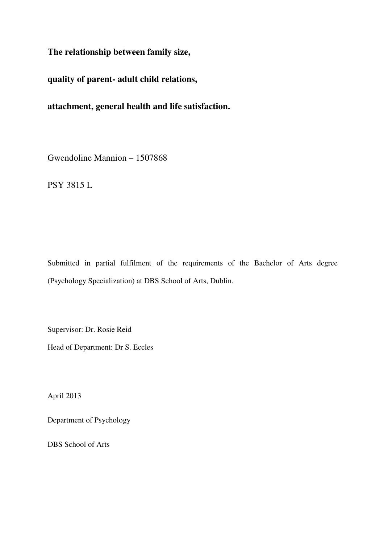**The relationship between family size,** 

**quality of parent- adult child relations,** 

**attachment, general health and life satisfaction.** 

Gwendoline Mannion – 1507868

PSY 3815 L

Submitted in partial fulfilment of the requirements of the Bachelor of Arts degree (Psychology Specialization) at DBS School of Arts, Dublin.

Supervisor: Dr. Rosie Reid Head of Department: Dr S. Eccles

April 2013

Department of Psychology

DBS School of Arts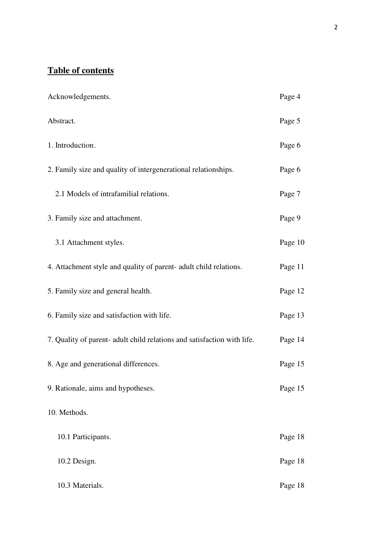# **Table of contents**

| Acknowledgements.                                                       | Page 4  |
|-------------------------------------------------------------------------|---------|
| Abstract.                                                               | Page 5  |
| 1. Introduction.                                                        | Page 6  |
| 2. Family size and quality of intergenerational relationships.          | Page 6  |
| 2.1 Models of intrafamilial relations.                                  | Page 7  |
| 3. Family size and attachment.                                          | Page 9  |
| 3.1 Attachment styles.                                                  | Page 10 |
| 4. Attachment style and quality of parent- adult child relations.       | Page 11 |
| 5. Family size and general health.                                      | Page 12 |
| 6. Family size and satisfaction with life.                              | Page 13 |
| 7. Quality of parent- adult child relations and satisfaction with life. | Page 14 |
| 8. Age and generational differences.                                    | Page 15 |
| 9. Rationale, aims and hypotheses.                                      | Page 15 |
| 10. Methods.                                                            |         |
| 10.1 Participants.                                                      | Page 18 |
| 10.2 Design.                                                            | Page 18 |
| 10.3 Materials.                                                         | Page 18 |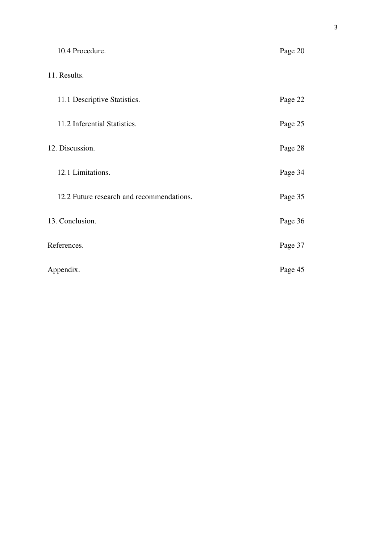| 10.4 Procedure.                           | Page 20 |
|-------------------------------------------|---------|
| 11. Results.                              |         |
| 11.1 Descriptive Statistics.              | Page 22 |
| 11.2 Inferential Statistics.              | Page 25 |
| 12. Discussion.                           | Page 28 |
| 12.1 Limitations.                         | Page 34 |
| 12.2 Future research and recommendations. | Page 35 |
| 13. Conclusion.                           | Page 36 |
| References.                               | Page 37 |
| Appendix.                                 | Page 45 |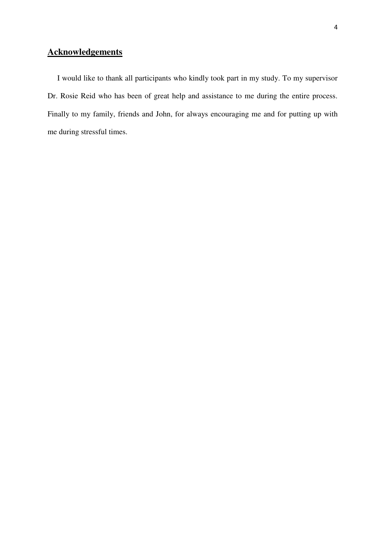## **Acknowledgements**

 I would like to thank all participants who kindly took part in my study. To my supervisor Dr. Rosie Reid who has been of great help and assistance to me during the entire process. Finally to my family, friends and John, for always encouraging me and for putting up with me during stressful times.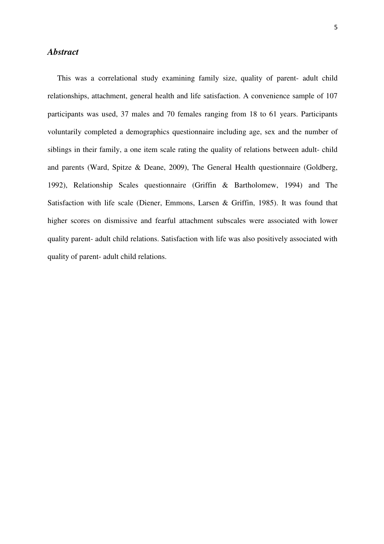## *Abstract*

 This was a correlational study examining family size, quality of parent- adult child relationships, attachment, general health and life satisfaction. A convenience sample of 107 participants was used, 37 males and 70 females ranging from 18 to 61 years. Participants voluntarily completed a demographics questionnaire including age, sex and the number of siblings in their family, a one item scale rating the quality of relations between adult- child and parents (Ward, Spitze & Deane, 2009), The General Health questionnaire (Goldberg, 1992), Relationship Scales questionnaire (Griffin & Bartholomew, 1994) and The Satisfaction with life scale (Diener, Emmons, Larsen & Griffin, 1985). It was found that higher scores on dismissive and fearful attachment subscales were associated with lower quality parent- adult child relations. Satisfaction with life was also positively associated with quality of parent- adult child relations.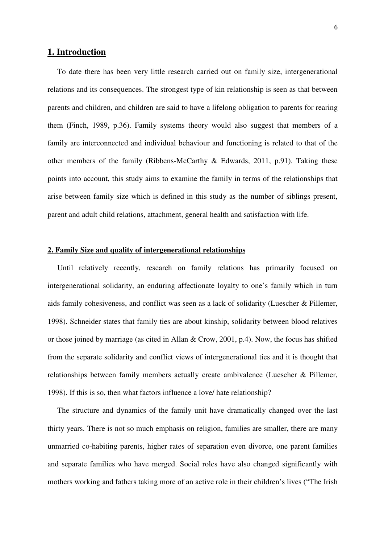## **1. Introduction**

 To date there has been very little research carried out on family size, intergenerational relations and its consequences. The strongest type of kin relationship is seen as that between parents and children, and children are said to have a lifelong obligation to parents for rearing them (Finch, 1989, p.36). Family systems theory would also suggest that members of a family are interconnected and individual behaviour and functioning is related to that of the other members of the family (Ribbens-McCarthy & Edwards, 2011, p.91). Taking these points into account, this study aims to examine the family in terms of the relationships that arise between family size which is defined in this study as the number of siblings present, parent and adult child relations, attachment, general health and satisfaction with life.

## **2. Family Size and quality of intergenerational relationships**

 Until relatively recently, research on family relations has primarily focused on intergenerational solidarity, an enduring affectionate loyalty to one's family which in turn aids family cohesiveness, and conflict was seen as a lack of solidarity (Luescher & Pillemer, 1998). Schneider states that family ties are about kinship, solidarity between blood relatives or those joined by marriage (as cited in Allan & Crow, 2001, p.4). Now, the focus has shifted from the separate solidarity and conflict views of intergenerational ties and it is thought that relationships between family members actually create ambivalence (Luescher & Pillemer, 1998). If this is so, then what factors influence a love/ hate relationship?

 The structure and dynamics of the family unit have dramatically changed over the last thirty years. There is not so much emphasis on religion, families are smaller, there are many unmarried co-habiting parents, higher rates of separation even divorce, one parent families and separate families who have merged. Social roles have also changed significantly with mothers working and fathers taking more of an active role in their children's lives ("The Irish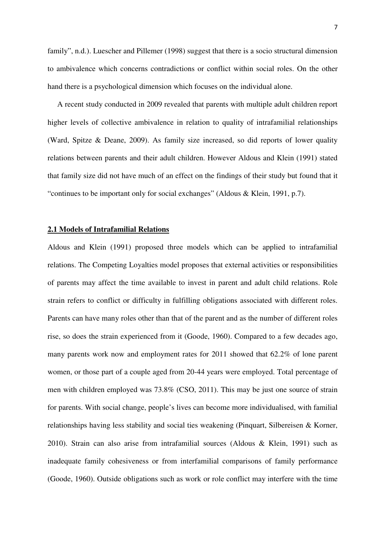family", n.d.). Luescher and Pillemer (1998) suggest that there is a socio structural dimension to ambivalence which concerns contradictions or conflict within social roles. On the other hand there is a psychological dimension which focuses on the individual alone.

 A recent study conducted in 2009 revealed that parents with multiple adult children report higher levels of collective ambivalence in relation to quality of intrafamilial relationships (Ward, Spitze & Deane, 2009). As family size increased, so did reports of lower quality relations between parents and their adult children. However Aldous and Klein (1991) stated that family size did not have much of an effect on the findings of their study but found that it "continues to be important only for social exchanges" (Aldous & Klein, 1991, p.7).

## **2.1 Models of Intrafamilial Relations**

Aldous and Klein (1991) proposed three models which can be applied to intrafamilial relations. The Competing Loyalties model proposes that external activities or responsibilities of parents may affect the time available to invest in parent and adult child relations. Role strain refers to conflict or difficulty in fulfilling obligations associated with different roles. Parents can have many roles other than that of the parent and as the number of different roles rise, so does the strain experienced from it (Goode, 1960). Compared to a few decades ago, many parents work now and employment rates for 2011 showed that 62.2% of lone parent women, or those part of a couple aged from 20-44 years were employed. Total percentage of men with children employed was 73.8% (CSO, 2011). This may be just one source of strain for parents. With social change, people's lives can become more individualised, with familial relationships having less stability and social ties weakening (Pinquart, Silbereisen & Korner, 2010). Strain can also arise from intrafamilial sources (Aldous & Klein, 1991) such as inadequate family cohesiveness or from interfamilial comparisons of family performance (Goode, 1960). Outside obligations such as work or role conflict may interfere with the time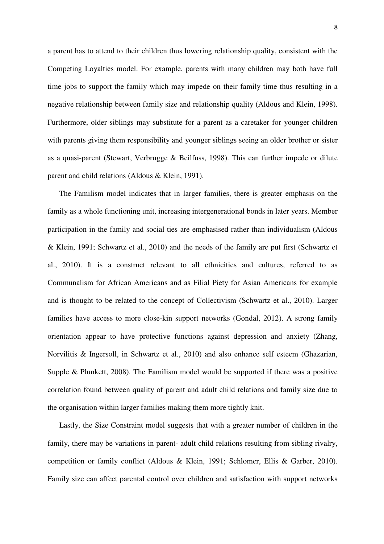a parent has to attend to their children thus lowering relationship quality, consistent with the Competing Loyalties model. For example, parents with many children may both have full time jobs to support the family which may impede on their family time thus resulting in a negative relationship between family size and relationship quality (Aldous and Klein, 1998). Furthermore, older siblings may substitute for a parent as a caretaker for younger children with parents giving them responsibility and younger siblings seeing an older brother or sister as a quasi-parent (Stewart, Verbrugge & Beilfuss, 1998). This can further impede or dilute parent and child relations (Aldous & Klein, 1991).

 The Familism model indicates that in larger families, there is greater emphasis on the family as a whole functioning unit, increasing intergenerational bonds in later years. Member participation in the family and social ties are emphasised rather than individualism (Aldous & Klein, 1991; Schwartz et al., 2010) and the needs of the family are put first (Schwartz et al., 2010). It is a construct relevant to all ethnicities and cultures, referred to as Communalism for African Americans and as Filial Piety for Asian Americans for example and is thought to be related to the concept of Collectivism (Schwartz et al., 2010). Larger families have access to more close-kin support networks (Gondal, 2012). A strong family orientation appear to have protective functions against depression and anxiety (Zhang, Norvilitis & Ingersoll, in Schwartz et al., 2010) and also enhance self esteem (Ghazarian, Supple & Plunkett, 2008). The Familism model would be supported if there was a positive correlation found between quality of parent and adult child relations and family size due to the organisation within larger families making them more tightly knit.

 Lastly, the Size Constraint model suggests that with a greater number of children in the family, there may be variations in parent- adult child relations resulting from sibling rivalry, competition or family conflict (Aldous & Klein, 1991; Schlomer, Ellis & Garber, 2010). Family size can affect parental control over children and satisfaction with support networks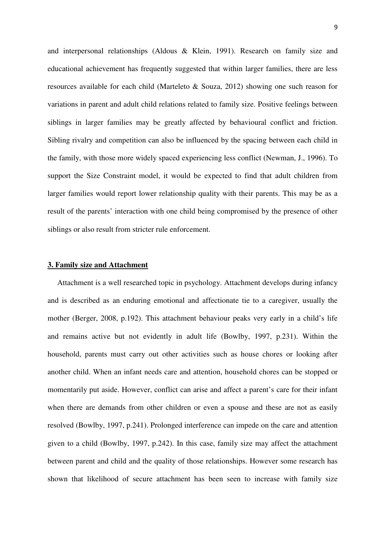and interpersonal relationships (Aldous & Klein, 1991). Research on family size and educational achievement has frequently suggested that within larger families, there are less resources available for each child (Marteleto & Souza, 2012) showing one such reason for variations in parent and adult child relations related to family size. Positive feelings between siblings in larger families may be greatly affected by behavioural conflict and friction. Sibling rivalry and competition can also be influenced by the spacing between each child in the family, with those more widely spaced experiencing less conflict (Newman, J., 1996). To support the Size Constraint model, it would be expected to find that adult children from larger families would report lower relationship quality with their parents. This may be as a result of the parents' interaction with one child being compromised by the presence of other siblings or also result from stricter rule enforcement.

### **3. Family size and Attachment**

 Attachment is a well researched topic in psychology. Attachment develops during infancy and is described as an enduring emotional and affectionate tie to a caregiver, usually the mother (Berger, 2008, p.192). This attachment behaviour peaks very early in a child's life and remains active but not evidently in adult life (Bowlby, 1997, p.231). Within the household, parents must carry out other activities such as house chores or looking after another child. When an infant needs care and attention, household chores can be stopped or momentarily put aside. However, conflict can arise and affect a parent's care for their infant when there are demands from other children or even a spouse and these are not as easily resolved (Bowlby, 1997, p.241). Prolonged interference can impede on the care and attention given to a child (Bowlby, 1997, p.242). In this case, family size may affect the attachment between parent and child and the quality of those relationships. However some research has shown that likelihood of secure attachment has been seen to increase with family size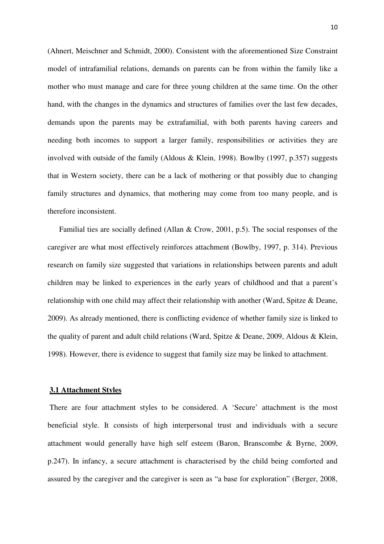(Ahnert, Meischner and Schmidt, 2000). Consistent with the aforementioned Size Constraint model of intrafamilial relations, demands on parents can be from within the family like a mother who must manage and care for three young children at the same time. On the other hand, with the changes in the dynamics and structures of families over the last few decades, demands upon the parents may be extrafamilial, with both parents having careers and needing both incomes to support a larger family, responsibilities or activities they are involved with outside of the family (Aldous & Klein, 1998). Bowlby (1997, p.357) suggests that in Western society, there can be a lack of mothering or that possibly due to changing family structures and dynamics, that mothering may come from too many people, and is therefore inconsistent.

 Familial ties are socially defined (Allan & Crow, 2001, p.5). The social responses of the caregiver are what most effectively reinforces attachment (Bowlby, 1997, p. 314). Previous research on family size suggested that variations in relationships between parents and adult children may be linked to experiences in the early years of childhood and that a parent's relationship with one child may affect their relationship with another (Ward, Spitze & Deane, 2009). As already mentioned, there is conflicting evidence of whether family size is linked to the quality of parent and adult child relations (Ward, Spitze & Deane, 2009, Aldous & Klein, 1998). However, there is evidence to suggest that family size may be linked to attachment.

## **3.1 Attachment Styles**

 There are four attachment styles to be considered. A 'Secure' attachment is the most beneficial style. It consists of high interpersonal trust and individuals with a secure attachment would generally have high self esteem (Baron, Branscombe & Byrne, 2009, p.247). In infancy, a secure attachment is characterised by the child being comforted and assured by the caregiver and the caregiver is seen as "a base for exploration" (Berger, 2008,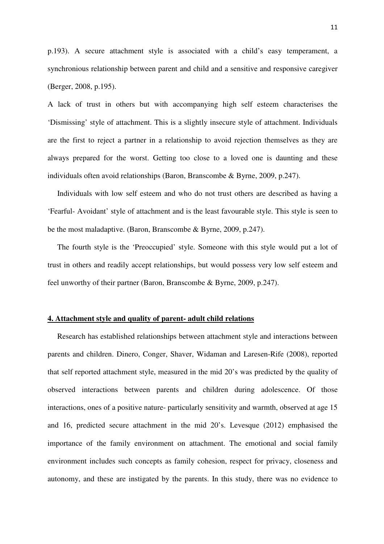p.193). A secure attachment style is associated with a child's easy temperament, a synchronious relationship between parent and child and a sensitive and responsive caregiver (Berger, 2008, p.195).

A lack of trust in others but with accompanying high self esteem characterises the 'Dismissing' style of attachment. This is a slightly insecure style of attachment. Individuals are the first to reject a partner in a relationship to avoid rejection themselves as they are always prepared for the worst. Getting too close to a loved one is daunting and these individuals often avoid relationships (Baron, Branscombe & Byrne, 2009, p.247).

 Individuals with low self esteem and who do not trust others are described as having a 'Fearful- Avoidant' style of attachment and is the least favourable style. This style is seen to be the most maladaptive. (Baron, Branscombe & Byrne, 2009, p.247).

 The fourth style is the 'Preoccupied' style. Someone with this style would put a lot of trust in others and readily accept relationships, but would possess very low self esteem and feel unworthy of their partner (Baron, Branscombe & Byrne, 2009, p.247).

### **4. Attachment style and quality of parent- adult child relations**

 Research has established relationships between attachment style and interactions between parents and children. Dinero, Conger, Shaver, Widaman and Laresen-Rife (2008), reported that self reported attachment style, measured in the mid 20's was predicted by the quality of observed interactions between parents and children during adolescence. Of those interactions, ones of a positive nature- particularly sensitivity and warmth, observed at age 15 and 16, predicted secure attachment in the mid 20's. Levesque (2012) emphasised the importance of the family environment on attachment. The emotional and social family environment includes such concepts as family cohesion, respect for privacy, closeness and autonomy, and these are instigated by the parents. In this study, there was no evidence to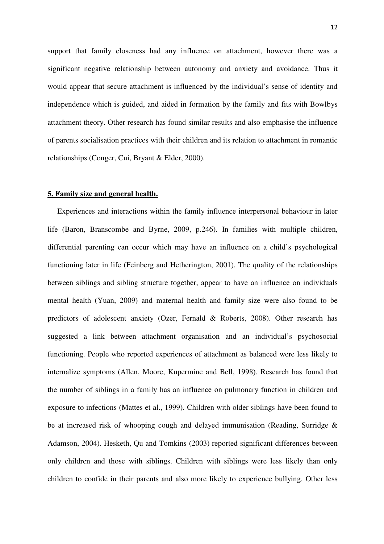support that family closeness had any influence on attachment, however there was a significant negative relationship between autonomy and anxiety and avoidance. Thus it would appear that secure attachment is influenced by the individual's sense of identity and independence which is guided, and aided in formation by the family and fits with Bowlbys attachment theory. Other research has found similar results and also emphasise the influence of parents socialisation practices with their children and its relation to attachment in romantic relationships (Conger, Cui, Bryant & Elder, 2000).

#### **5. Family size and general health.**

 Experiences and interactions within the family influence interpersonal behaviour in later life (Baron, Branscombe and Byrne, 2009, p.246). In families with multiple children, differential parenting can occur which may have an influence on a child's psychological functioning later in life (Feinberg and Hetherington, 2001). The quality of the relationships between siblings and sibling structure together, appear to have an influence on individuals mental health (Yuan, 2009) and maternal health and family size were also found to be predictors of adolescent anxiety (Ozer, Fernald & Roberts, 2008). Other research has suggested a link between attachment organisation and an individual's psychosocial functioning. People who reported experiences of attachment as balanced were less likely to internalize symptoms (Allen, Moore, Kuperminc and Bell, 1998). Research has found that the number of siblings in a family has an influence on pulmonary function in children and exposure to infections (Mattes et al., 1999). Children with older siblings have been found to be at increased risk of whooping cough and delayed immunisation (Reading, Surridge & Adamson, 2004). Hesketh, Qu and Tomkins (2003) reported significant differences between only children and those with siblings. Children with siblings were less likely than only children to confide in their parents and also more likely to experience bullying. Other less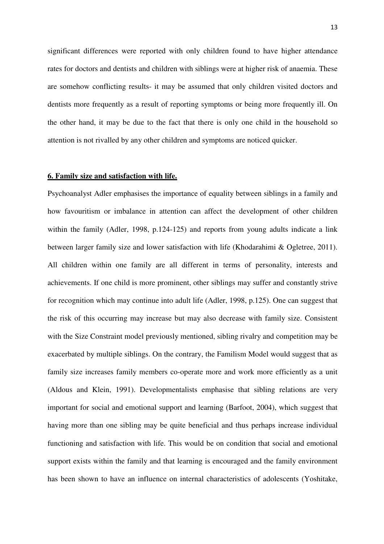significant differences were reported with only children found to have higher attendance rates for doctors and dentists and children with siblings were at higher risk of anaemia. These are somehow conflicting results- it may be assumed that only children visited doctors and dentists more frequently as a result of reporting symptoms or being more frequently ill. On the other hand, it may be due to the fact that there is only one child in the household so attention is not rivalled by any other children and symptoms are noticed quicker.

#### **6. Family size and satisfaction with life.**

Psychoanalyst Adler emphasises the importance of equality between siblings in a family and how favouritism or imbalance in attention can affect the development of other children within the family (Adler, 1998, p.124-125) and reports from young adults indicate a link between larger family size and lower satisfaction with life (Khodarahimi & Ogletree, 2011). All children within one family are all different in terms of personality, interests and achievements. If one child is more prominent, other siblings may suffer and constantly strive for recognition which may continue into adult life (Adler, 1998, p.125). One can suggest that the risk of this occurring may increase but may also decrease with family size. Consistent with the Size Constraint model previously mentioned, sibling rivalry and competition may be exacerbated by multiple siblings. On the contrary, the Familism Model would suggest that as family size increases family members co-operate more and work more efficiently as a unit (Aldous and Klein, 1991). Developmentalists emphasise that sibling relations are very important for social and emotional support and learning (Barfoot, 2004), which suggest that having more than one sibling may be quite beneficial and thus perhaps increase individual functioning and satisfaction with life. This would be on condition that social and emotional support exists within the family and that learning is encouraged and the family environment has been shown to have an influence on internal characteristics of adolescents (Yoshitake,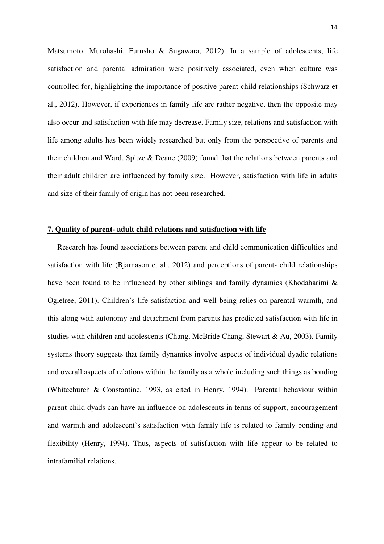Matsumoto, Murohashi, Furusho & Sugawara, 2012). In a sample of adolescents, life satisfaction and parental admiration were positively associated, even when culture was controlled for, highlighting the importance of positive parent-child relationships (Schwarz et al., 2012). However, if experiences in family life are rather negative, then the opposite may also occur and satisfaction with life may decrease. Family size, relations and satisfaction with life among adults has been widely researched but only from the perspective of parents and their children and Ward, Spitze & Deane (2009) found that the relations between parents and their adult children are influenced by family size. However, satisfaction with life in adults and size of their family of origin has not been researched.

## **7. Quality of parent- adult child relations and satisfaction with life**

 Research has found associations between parent and child communication difficulties and satisfaction with life (Bjarnason et al., 2012) and perceptions of parent- child relationships have been found to be influenced by other siblings and family dynamics (Khodaharimi & Ogletree, 2011). Children's life satisfaction and well being relies on parental warmth, and this along with autonomy and detachment from parents has predicted satisfaction with life in studies with children and adolescents (Chang, McBride Chang, Stewart & Au, 2003). Family systems theory suggests that family dynamics involve aspects of individual dyadic relations and overall aspects of relations within the family as a whole including such things as bonding (Whitechurch & Constantine, 1993, as cited in Henry, 1994). Parental behaviour within parent-child dyads can have an influence on adolescents in terms of support, encouragement and warmth and adolescent's satisfaction with family life is related to family bonding and flexibility (Henry, 1994). Thus, aspects of satisfaction with life appear to be related to intrafamilial relations.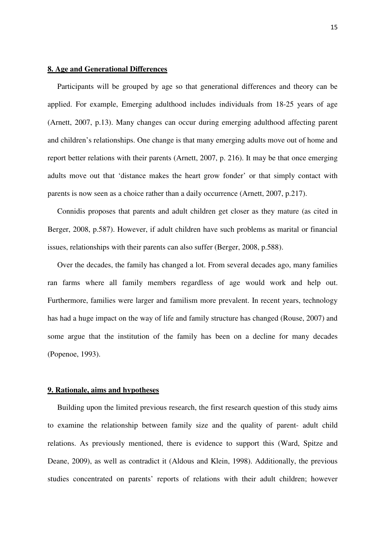### **8. Age and Generational Differences**

 Participants will be grouped by age so that generational differences and theory can be applied. For example, Emerging adulthood includes individuals from 18-25 years of age (Arnett, 2007, p.13). Many changes can occur during emerging adulthood affecting parent and children's relationships. One change is that many emerging adults move out of home and report better relations with their parents (Arnett, 2007, p. 216). It may be that once emerging adults move out that 'distance makes the heart grow fonder' or that simply contact with parents is now seen as a choice rather than a daily occurrence (Arnett, 2007, p.217).

 Connidis proposes that parents and adult children get closer as they mature (as cited in Berger, 2008, p.587). However, if adult children have such problems as marital or financial issues, relationships with their parents can also suffer (Berger, 2008, p.588).

 Over the decades, the family has changed a lot. From several decades ago, many families ran farms where all family members regardless of age would work and help out. Furthermore, families were larger and familism more prevalent. In recent years, technology has had a huge impact on the way of life and family structure has changed (Rouse, 2007) and some argue that the institution of the family has been on a decline for many decades (Popenoe, 1993).

### **9. Rationale, aims and hypotheses**

 Building upon the limited previous research, the first research question of this study aims to examine the relationship between family size and the quality of parent- adult child relations. As previously mentioned, there is evidence to support this (Ward, Spitze and Deane, 2009), as well as contradict it (Aldous and Klein, 1998). Additionally, the previous studies concentrated on parents' reports of relations with their adult children; however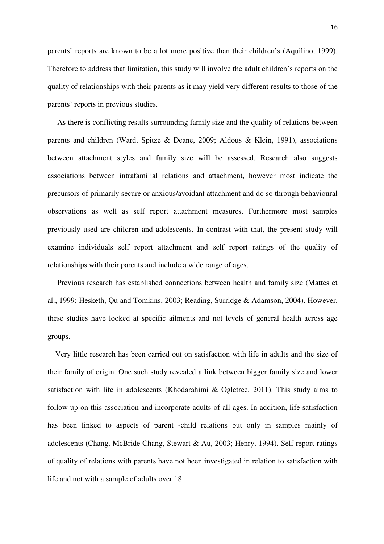parents' reports are known to be a lot more positive than their children's (Aquilino, 1999). Therefore to address that limitation, this study will involve the adult children's reports on the quality of relationships with their parents as it may yield very different results to those of the parents' reports in previous studies.

 As there is conflicting results surrounding family size and the quality of relations between parents and children (Ward, Spitze & Deane, 2009; Aldous & Klein, 1991), associations between attachment styles and family size will be assessed. Research also suggests associations between intrafamilial relations and attachment, however most indicate the precursors of primarily secure or anxious/avoidant attachment and do so through behavioural observations as well as self report attachment measures. Furthermore most samples previously used are children and adolescents. In contrast with that, the present study will examine individuals self report attachment and self report ratings of the quality of relationships with their parents and include a wide range of ages.

 Previous research has established connections between health and family size (Mattes et al., 1999; Hesketh, Qu and Tomkins, 2003; Reading, Surridge & Adamson, 2004). However, these studies have looked at specific ailments and not levels of general health across age groups.

 Very little research has been carried out on satisfaction with life in adults and the size of their family of origin. One such study revealed a link between bigger family size and lower satisfaction with life in adolescents (Khodarahimi & Ogletree, 2011). This study aims to follow up on this association and incorporate adults of all ages. In addition, life satisfaction has been linked to aspects of parent -child relations but only in samples mainly of adolescents (Chang, McBride Chang, Stewart & Au, 2003; Henry, 1994). Self report ratings of quality of relations with parents have not been investigated in relation to satisfaction with life and not with a sample of adults over 18.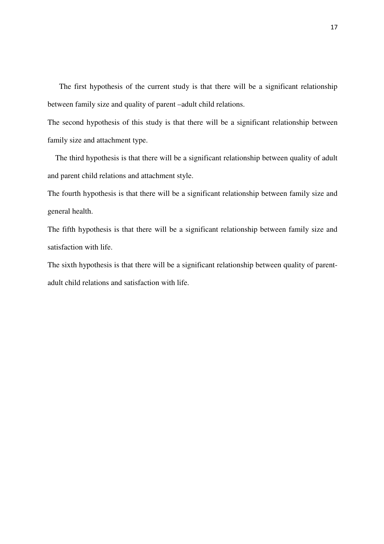The first hypothesis of the current study is that there will be a significant relationship between family size and quality of parent –adult child relations.

The second hypothesis of this study is that there will be a significant relationship between family size and attachment type.

 The third hypothesis is that there will be a significant relationship between quality of adult and parent child relations and attachment style.

The fourth hypothesis is that there will be a significant relationship between family size and general health.

The fifth hypothesis is that there will be a significant relationship between family size and satisfaction with life.

The sixth hypothesis is that there will be a significant relationship between quality of parentadult child relations and satisfaction with life.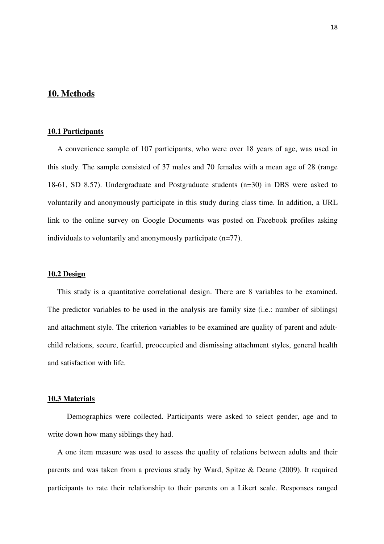## **10. Methods**

## **10.1 Participants**

 A convenience sample of 107 participants, who were over 18 years of age, was used in this study. The sample consisted of 37 males and 70 females with a mean age of 28 (range 18-61, SD 8.57). Undergraduate and Postgraduate students (n=30) in DBS were asked to voluntarily and anonymously participate in this study during class time. In addition, a URL link to the online survey on Google Documents was posted on Facebook profiles asking individuals to voluntarily and anonymously participate (n=77).

### **10.2 Design**

 This study is a quantitative correlational design. There are 8 variables to be examined. The predictor variables to be used in the analysis are family size (i.e.: number of siblings) and attachment style. The criterion variables to be examined are quality of parent and adultchild relations, secure, fearful, preoccupied and dismissing attachment styles, general health and satisfaction with life.

#### **10.3 Materials**

 Demographics were collected. Participants were asked to select gender, age and to write down how many siblings they had.

 A one item measure was used to assess the quality of relations between adults and their parents and was taken from a previous study by Ward, Spitze & Deane (2009). It required participants to rate their relationship to their parents on a Likert scale. Responses ranged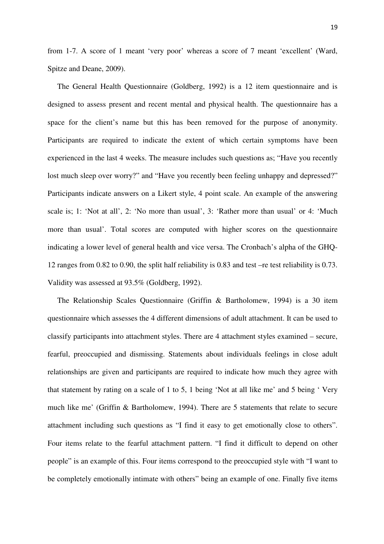from 1-7. A score of 1 meant 'very poor' whereas a score of 7 meant 'excellent' (Ward, Spitze and Deane, 2009).

 The General Health Questionnaire (Goldberg, 1992) is a 12 item questionnaire and is designed to assess present and recent mental and physical health. The questionnaire has a space for the client's name but this has been removed for the purpose of anonymity. Participants are required to indicate the extent of which certain symptoms have been experienced in the last 4 weeks. The measure includes such questions as; "Have you recently lost much sleep over worry?" and "Have you recently been feeling unhappy and depressed?" Participants indicate answers on a Likert style, 4 point scale. An example of the answering scale is; 1: 'Not at all', 2: 'No more than usual', 3: 'Rather more than usual' or 4: 'Much more than usual'. Total scores are computed with higher scores on the questionnaire indicating a lower level of general health and vice versa. The Cronbach's alpha of the GHQ-12 ranges from 0.82 to 0.90, the split half reliability is 0.83 and test –re test reliability is 0.73. Validity was assessed at 93.5% (Goldberg, 1992).

 The Relationship Scales Questionnaire (Griffin & Bartholomew, 1994) is a 30 item questionnaire which assesses the 4 different dimensions of adult attachment. It can be used to classify participants into attachment styles. There are 4 attachment styles examined – secure, fearful, preoccupied and dismissing. Statements about individuals feelings in close adult relationships are given and participants are required to indicate how much they agree with that statement by rating on a scale of 1 to 5, 1 being 'Not at all like me' and 5 being ' Very much like me' (Griffin & Bartholomew, 1994). There are 5 statements that relate to secure attachment including such questions as "I find it easy to get emotionally close to others". Four items relate to the fearful attachment pattern. "I find it difficult to depend on other people" is an example of this. Four items correspond to the preoccupied style with "I want to be completely emotionally intimate with others" being an example of one. Finally five items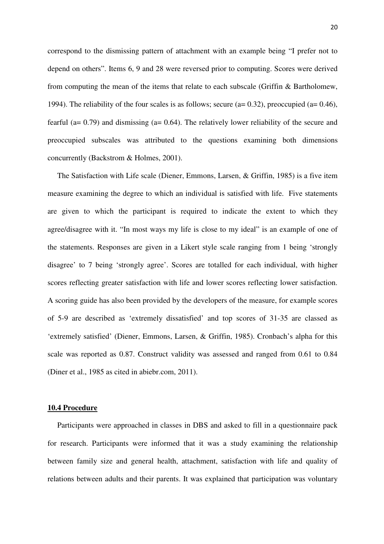correspond to the dismissing pattern of attachment with an example being "I prefer not to depend on others". Items 6, 9 and 28 were reversed prior to computing. Scores were derived from computing the mean of the items that relate to each subscale (Griffin & Bartholomew, 1994). The reliability of the four scales is as follows; secure ( $a= 0.32$ ), preoccupied ( $a= 0.46$ ), fearful (a= 0.79) and dismissing (a= 0.64). The relatively lower reliability of the secure and preoccupied subscales was attributed to the questions examining both dimensions concurrently (Backstrom & Holmes, 2001).

 The Satisfaction with Life scale (Diener, Emmons, Larsen, & Griffin, 1985) is a five item measure examining the degree to which an individual is satisfied with life. Five statements are given to which the participant is required to indicate the extent to which they agree/disagree with it. "In most ways my life is close to my ideal" is an example of one of the statements. Responses are given in a Likert style scale ranging from 1 being 'strongly disagree' to 7 being 'strongly agree'. Scores are totalled for each individual, with higher scores reflecting greater satisfaction with life and lower scores reflecting lower satisfaction. A scoring guide has also been provided by the developers of the measure, for example scores of 5-9 are described as 'extremely dissatisfied' and top scores of 31-35 are classed as 'extremely satisfied' (Diener, Emmons, Larsen, & Griffin, 1985). Cronbach's alpha for this scale was reported as 0.87. Construct validity was assessed and ranged from 0.61 to 0.84 (Diner et al., 1985 as cited in abiebr.com, 2011).

## **10.4 Procedure**

 Participants were approached in classes in DBS and asked to fill in a questionnaire pack for research. Participants were informed that it was a study examining the relationship between family size and general health, attachment, satisfaction with life and quality of relations between adults and their parents. It was explained that participation was voluntary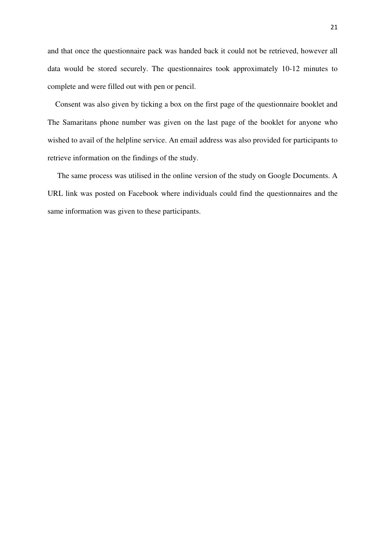and that once the questionnaire pack was handed back it could not be retrieved, however all data would be stored securely. The questionnaires took approximately 10-12 minutes to complete and were filled out with pen or pencil.

 Consent was also given by ticking a box on the first page of the questionnaire booklet and The Samaritans phone number was given on the last page of the booklet for anyone who wished to avail of the helpline service. An email address was also provided for participants to retrieve information on the findings of the study.

 The same process was utilised in the online version of the study on Google Documents. A URL link was posted on Facebook where individuals could find the questionnaires and the same information was given to these participants.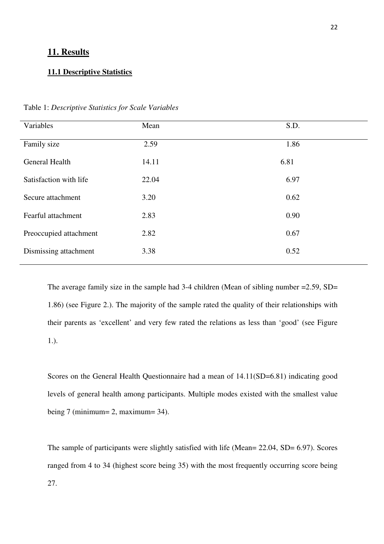## **11. Results**

## **11.1 Descriptive Statistics**

| Variables              | Mean  | S.D. |
|------------------------|-------|------|
| Family size            | 2.59  | 1.86 |
| General Health         | 14.11 | 6.81 |
| Satisfaction with life | 22.04 | 6.97 |
| Secure attachment      | 3.20  | 0.62 |
| Fearful attachment     | 2.83  | 0.90 |
| Preoccupied attachment | 2.82  | 0.67 |
| Dismissing attachment  | 3.38  | 0.52 |

Table 1: *Descriptive Statistics for Scale Variables*

The average family size in the sample had 3-4 children (Mean of sibling number = 2.59, SD = 1.86) (see Figure 2.). The majority of the sample rated the quality of their relationships with their parents as 'excellent' and very few rated the relations as less than 'good' (see Figure 1.).

Scores on the General Health Questionnaire had a mean of  $14.11(SD=6.81)$  indicating good levels of general health among participants. Multiple modes existed with the smallest value being 7 (minimum= 2, maximum= 34).

The sample of participants were slightly satisfied with life (Mean= 22.04, SD= 6.97). Scores ranged from 4 to 34 (highest score being 35) with the most frequently occurring score being 27.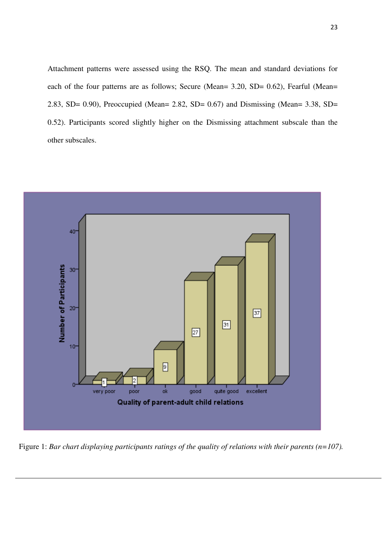Attachment patterns were assessed using the RSQ. The mean and standard deviations for each of the four patterns are as follows; Secure (Mean= 3.20, SD= 0.62), Fearful (Mean= 2.83, SD= 0.90), Preoccupied (Mean= 2.82, SD= 0.67) and Dismissing (Mean= 3.38, SD= 0.52). Participants scored slightly higher on the Dismissing attachment subscale than the other subscales.



Figure 1: *Bar chart displaying participants ratings of the quality of relations with their parents (n=107).*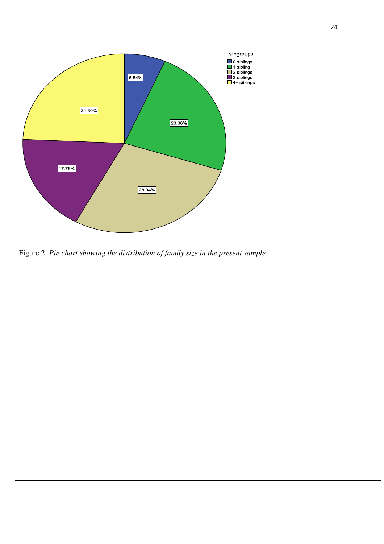

Figure 2: *Pie chart showing the distribution of family size in the present sample.*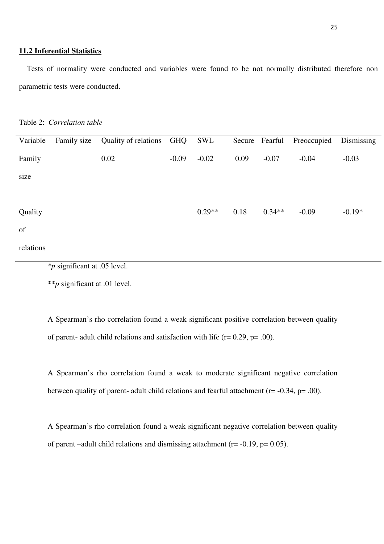## **11.2 Inferential Statistics**

 Tests of normality were conducted and variables were found to be not normally distributed therefore non parametric tests were conducted.

| Variable  | Family size                                                                                                                                                                                                                                                                                                         | Quality of relations GHQ |         | SWL      |      |          | Secure Fearful Preoccupied | Dismissing |
|-----------|---------------------------------------------------------------------------------------------------------------------------------------------------------------------------------------------------------------------------------------------------------------------------------------------------------------------|--------------------------|---------|----------|------|----------|----------------------------|------------|
|           |                                                                                                                                                                                                                                                                                                                     |                          |         |          |      |          |                            |            |
| Family    |                                                                                                                                                                                                                                                                                                                     | 0.02                     | $-0.09$ | $-0.02$  | 0.09 | $-0.07$  | $-0.04$                    | $-0.03$    |
|           |                                                                                                                                                                                                                                                                                                                     |                          |         |          |      |          |                            |            |
| size      |                                                                                                                                                                                                                                                                                                                     |                          |         |          |      |          |                            |            |
|           |                                                                                                                                                                                                                                                                                                                     |                          |         |          |      |          |                            |            |
|           |                                                                                                                                                                                                                                                                                                                     |                          |         |          |      |          |                            |            |
|           |                                                                                                                                                                                                                                                                                                                     |                          |         |          |      |          |                            |            |
| Quality   |                                                                                                                                                                                                                                                                                                                     |                          |         | $0.29**$ | 0.18 | $0.34**$ | $-0.09$                    | $-0.19*$   |
| of        |                                                                                                                                                                                                                                                                                                                     |                          |         |          |      |          |                            |            |
|           |                                                                                                                                                                                                                                                                                                                     |                          |         |          |      |          |                            |            |
| relations |                                                                                                                                                                                                                                                                                                                     |                          |         |          |      |          |                            |            |
|           |                                                                                                                                                                                                                                                                                                                     |                          |         |          |      |          |                            |            |
|           | $\frac{1}{2}$ $\frac{1}{2}$ $\frac{1}{2}$ $\frac{1}{2}$ $\frac{1}{2}$ $\frac{1}{2}$ $\frac{1}{2}$ $\frac{1}{2}$ $\frac{1}{2}$ $\frac{1}{2}$ $\frac{1}{2}$ $\frac{1}{2}$ $\frac{1}{2}$ $\frac{1}{2}$ $\frac{1}{2}$ $\frac{1}{2}$ $\frac{1}{2}$ $\frac{1}{2}$ $\frac{1}{2}$ $\frac{1}{2}$ $\frac{1}{2}$ $\frac{1}{2}$ |                          |         |          |      |          |                            |            |

*\*p* significant at .05 level.

\*\**p* significant at .01 level.

A Spearman's rho correlation found a weak significant positive correlation between quality of parent- adult child relations and satisfaction with life  $(r= 0.29, p=.00)$ .

A Spearman's rho correlation found a weak to moderate significant negative correlation between quality of parent- adult child relations and fearful attachment (r= -0.34, p= .00).

A Spearman's rho correlation found a weak significant negative correlation between quality of parent –adult child relations and dismissing attachment ( $r = -0.19$ ,  $p = 0.05$ ).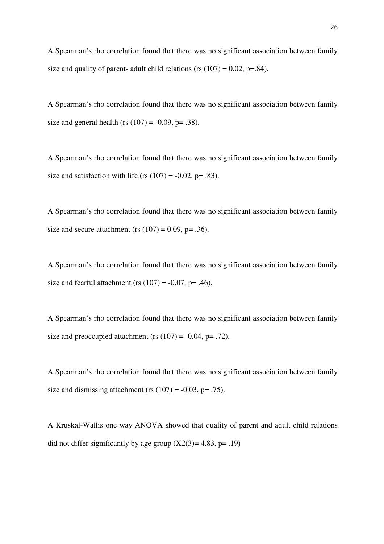A Spearman's rho correlation found that there was no significant association between family size and quality of parent- adult child relations (rs  $(107) = 0.02$ , p=.84).

A Spearman's rho correlation found that there was no significant association between family size and general health (rs  $(107) = -0.09$ , p= .38).

A Spearman's rho correlation found that there was no significant association between family size and satisfaction with life (rs  $(107) = -0.02$ , p= .83).

A Spearman's rho correlation found that there was no significant association between family size and secure attachment (rs  $(107) = 0.09$ , p= .36).

A Spearman's rho correlation found that there was no significant association between family size and fearful attachment (rs  $(107) = -0.07$ , p= .46).

A Spearman's rho correlation found that there was no significant association between family size and preoccupied attachment (rs  $(107) = -0.04$ , p= .72).

A Spearman's rho correlation found that there was no significant association between family size and dismissing attachment (rs  $(107) = -0.03$ , p= .75).

A Kruskal-Wallis one way ANOVA showed that quality of parent and adult child relations did not differ significantly by age group  $(X2(3)=4.83, p=.19)$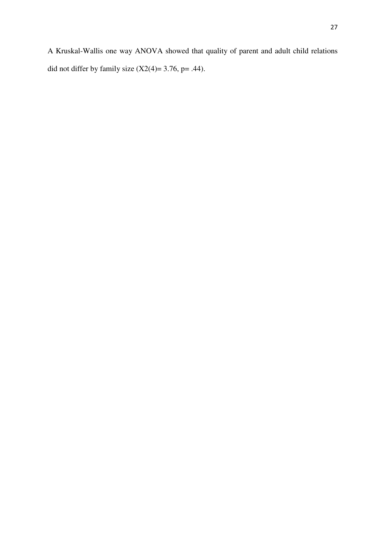A Kruskal-Wallis one way ANOVA showed that quality of parent and adult child relations did not differ by family size  $(X2(4)=3.76, p=.44)$ .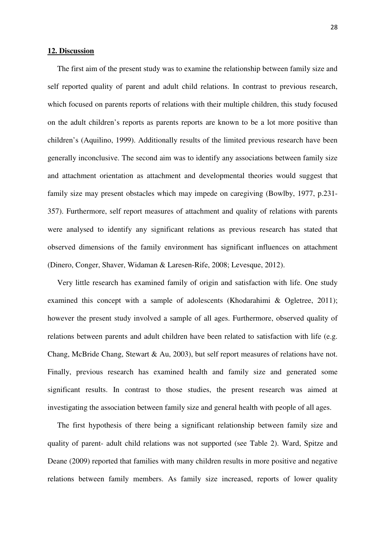### **12. Discussion**

 The first aim of the present study was to examine the relationship between family size and self reported quality of parent and adult child relations. In contrast to previous research, which focused on parents reports of relations with their multiple children, this study focused on the adult children's reports as parents reports are known to be a lot more positive than children's (Aquilino, 1999). Additionally results of the limited previous research have been generally inconclusive. The second aim was to identify any associations between family size and attachment orientation as attachment and developmental theories would suggest that family size may present obstacles which may impede on caregiving (Bowlby, 1977, p.231- 357). Furthermore, self report measures of attachment and quality of relations with parents were analysed to identify any significant relations as previous research has stated that observed dimensions of the family environment has significant influences on attachment (Dinero, Conger, Shaver, Widaman & Laresen-Rife, 2008; Levesque, 2012).

 Very little research has examined family of origin and satisfaction with life. One study examined this concept with a sample of adolescents (Khodarahimi & Ogletree, 2011); however the present study involved a sample of all ages. Furthermore, observed quality of relations between parents and adult children have been related to satisfaction with life (e.g. Chang, McBride Chang, Stewart & Au, 2003), but self report measures of relations have not. Finally, previous research has examined health and family size and generated some significant results. In contrast to those studies, the present research was aimed at investigating the association between family size and general health with people of all ages.

 The first hypothesis of there being a significant relationship between family size and quality of parent- adult child relations was not supported (see Table 2). Ward, Spitze and Deane (2009) reported that families with many children results in more positive and negative relations between family members. As family size increased, reports of lower quality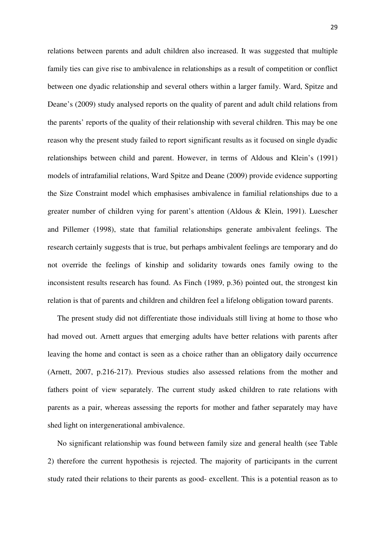relations between parents and adult children also increased. It was suggested that multiple family ties can give rise to ambivalence in relationships as a result of competition or conflict between one dyadic relationship and several others within a larger family. Ward, Spitze and Deane's (2009) study analysed reports on the quality of parent and adult child relations from the parents' reports of the quality of their relationship with several children. This may be one reason why the present study failed to report significant results as it focused on single dyadic relationships between child and parent. However, in terms of Aldous and Klein's (1991) models of intrafamilial relations, Ward Spitze and Deane (2009) provide evidence supporting the Size Constraint model which emphasises ambivalence in familial relationships due to a greater number of children vying for parent's attention (Aldous & Klein, 1991). Luescher and Pillemer (1998), state that familial relationships generate ambivalent feelings. The research certainly suggests that is true, but perhaps ambivalent feelings are temporary and do not override the feelings of kinship and solidarity towards ones family owing to the inconsistent results research has found. As Finch (1989, p.36) pointed out, the strongest kin relation is that of parents and children and children feel a lifelong obligation toward parents.

 The present study did not differentiate those individuals still living at home to those who had moved out. Arnett argues that emerging adults have better relations with parents after leaving the home and contact is seen as a choice rather than an obligatory daily occurrence (Arnett, 2007, p.216-217). Previous studies also assessed relations from the mother and fathers point of view separately. The current study asked children to rate relations with parents as a pair, whereas assessing the reports for mother and father separately may have shed light on intergenerational ambivalence.

 No significant relationship was found between family size and general health (see Table 2) therefore the current hypothesis is rejected. The majority of participants in the current study rated their relations to their parents as good- excellent. This is a potential reason as to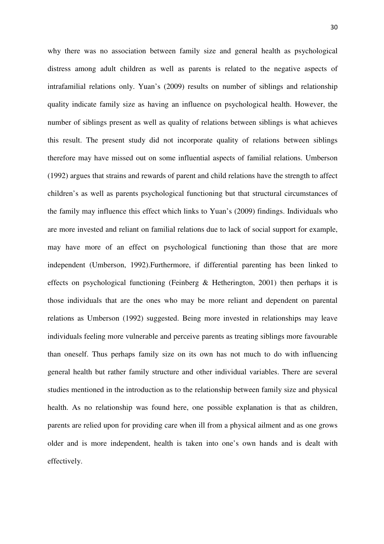why there was no association between family size and general health as psychological distress among adult children as well as parents is related to the negative aspects of intrafamilial relations only. Yuan's (2009) results on number of siblings and relationship quality indicate family size as having an influence on psychological health. However, the number of siblings present as well as quality of relations between siblings is what achieves this result. The present study did not incorporate quality of relations between siblings therefore may have missed out on some influential aspects of familial relations. Umberson (1992) argues that strains and rewards of parent and child relations have the strength to affect children's as well as parents psychological functioning but that structural circumstances of the family may influence this effect which links to Yuan's (2009) findings. Individuals who are more invested and reliant on familial relations due to lack of social support for example, may have more of an effect on psychological functioning than those that are more independent (Umberson, 1992).Furthermore, if differential parenting has been linked to effects on psychological functioning (Feinberg  $\&$  Hetherington, 2001) then perhaps it is those individuals that are the ones who may be more reliant and dependent on parental relations as Umberson (1992) suggested. Being more invested in relationships may leave individuals feeling more vulnerable and perceive parents as treating siblings more favourable than oneself. Thus perhaps family size on its own has not much to do with influencing general health but rather family structure and other individual variables. There are several studies mentioned in the introduction as to the relationship between family size and physical health. As no relationship was found here, one possible explanation is that as children, parents are relied upon for providing care when ill from a physical ailment and as one grows older and is more independent, health is taken into one's own hands and is dealt with effectively.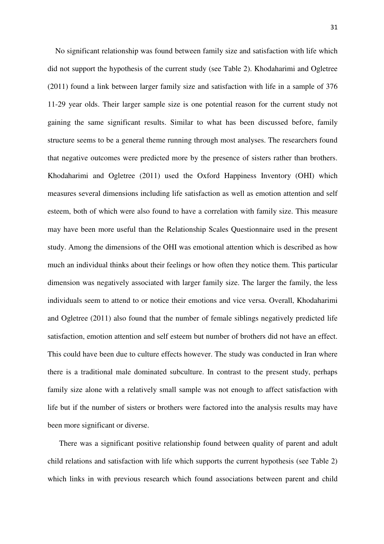No significant relationship was found between family size and satisfaction with life which did not support the hypothesis of the current study (see Table 2). Khodaharimi and Ogletree (2011) found a link between larger family size and satisfaction with life in a sample of 376 11-29 year olds. Their larger sample size is one potential reason for the current study not gaining the same significant results. Similar to what has been discussed before, family structure seems to be a general theme running through most analyses. The researchers found that negative outcomes were predicted more by the presence of sisters rather than brothers. Khodaharimi and Ogletree (2011) used the Oxford Happiness Inventory (OHI) which measures several dimensions including life satisfaction as well as emotion attention and self esteem, both of which were also found to have a correlation with family size. This measure may have been more useful than the Relationship Scales Questionnaire used in the present study. Among the dimensions of the OHI was emotional attention which is described as how much an individual thinks about their feelings or how often they notice them. This particular dimension was negatively associated with larger family size. The larger the family, the less individuals seem to attend to or notice their emotions and vice versa. Overall, Khodaharimi and Ogletree (2011) also found that the number of female siblings negatively predicted life satisfaction, emotion attention and self esteem but number of brothers did not have an effect. This could have been due to culture effects however. The study was conducted in Iran where there is a traditional male dominated subculture. In contrast to the present study, perhaps family size alone with a relatively small sample was not enough to affect satisfaction with life but if the number of sisters or brothers were factored into the analysis results may have been more significant or diverse.

 There was a significant positive relationship found between quality of parent and adult child relations and satisfaction with life which supports the current hypothesis (see Table 2) which links in with previous research which found associations between parent and child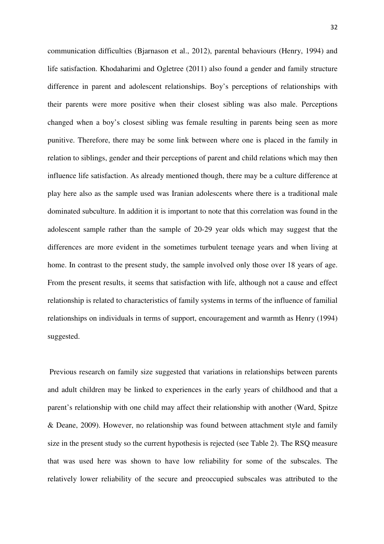communication difficulties (Bjarnason et al., 2012), parental behaviours (Henry, 1994) and life satisfaction. Khodaharimi and Ogletree (2011) also found a gender and family structure difference in parent and adolescent relationships. Boy's perceptions of relationships with their parents were more positive when their closest sibling was also male. Perceptions changed when a boy's closest sibling was female resulting in parents being seen as more punitive. Therefore, there may be some link between where one is placed in the family in relation to siblings, gender and their perceptions of parent and child relations which may then influence life satisfaction. As already mentioned though, there may be a culture difference at play here also as the sample used was Iranian adolescents where there is a traditional male dominated subculture. In addition it is important to note that this correlation was found in the adolescent sample rather than the sample of 20-29 year olds which may suggest that the differences are more evident in the sometimes turbulent teenage years and when living at home. In contrast to the present study, the sample involved only those over 18 years of age. From the present results, it seems that satisfaction with life, although not a cause and effect relationship is related to characteristics of family systems in terms of the influence of familial relationships on individuals in terms of support, encouragement and warmth as Henry (1994) suggested.

 Previous research on family size suggested that variations in relationships between parents and adult children may be linked to experiences in the early years of childhood and that a parent's relationship with one child may affect their relationship with another (Ward, Spitze & Deane, 2009). However, no relationship was found between attachment style and family size in the present study so the current hypothesis is rejected (see Table 2). The RSQ measure that was used here was shown to have low reliability for some of the subscales. The relatively lower reliability of the secure and preoccupied subscales was attributed to the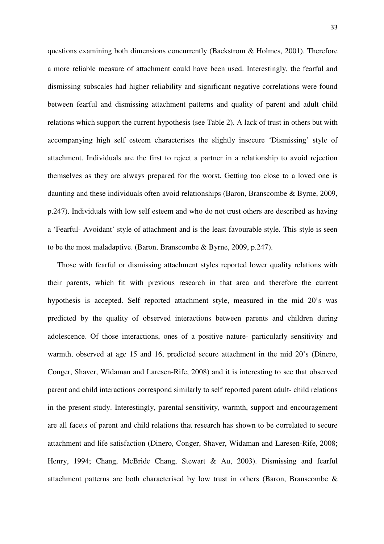questions examining both dimensions concurrently (Backstrom & Holmes, 2001). Therefore a more reliable measure of attachment could have been used. Interestingly, the fearful and dismissing subscales had higher reliability and significant negative correlations were found between fearful and dismissing attachment patterns and quality of parent and adult child relations which support the current hypothesis (see Table 2). A lack of trust in others but with accompanying high self esteem characterises the slightly insecure 'Dismissing' style of attachment. Individuals are the first to reject a partner in a relationship to avoid rejection themselves as they are always prepared for the worst. Getting too close to a loved one is daunting and these individuals often avoid relationships (Baron, Branscombe & Byrne, 2009, p.247). Individuals with low self esteem and who do not trust others are described as having a 'Fearful- Avoidant' style of attachment and is the least favourable style. This style is seen to be the most maladaptive. (Baron, Branscombe & Byrne, 2009, p.247).

 Those with fearful or dismissing attachment styles reported lower quality relations with their parents, which fit with previous research in that area and therefore the current hypothesis is accepted. Self reported attachment style, measured in the mid 20's was predicted by the quality of observed interactions between parents and children during adolescence. Of those interactions, ones of a positive nature- particularly sensitivity and warmth, observed at age 15 and 16, predicted secure attachment in the mid 20's (Dinero, Conger, Shaver, Widaman and Laresen-Rife, 2008) and it is interesting to see that observed parent and child interactions correspond similarly to self reported parent adult- child relations in the present study. Interestingly, parental sensitivity, warmth, support and encouragement are all facets of parent and child relations that research has shown to be correlated to secure attachment and life satisfaction (Dinero, Conger, Shaver, Widaman and Laresen-Rife, 2008; Henry, 1994; Chang, McBride Chang, Stewart & Au, 2003). Dismissing and fearful attachment patterns are both characterised by low trust in others (Baron, Branscombe &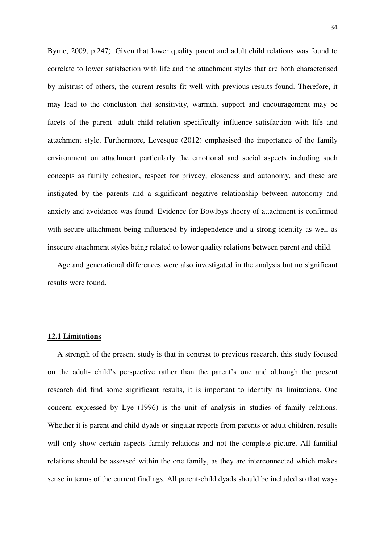Byrne, 2009, p.247). Given that lower quality parent and adult child relations was found to correlate to lower satisfaction with life and the attachment styles that are both characterised by mistrust of others, the current results fit well with previous results found. Therefore, it may lead to the conclusion that sensitivity, warmth, support and encouragement may be facets of the parent- adult child relation specifically influence satisfaction with life and attachment style. Furthermore, Levesque (2012) emphasised the importance of the family environment on attachment particularly the emotional and social aspects including such concepts as family cohesion, respect for privacy, closeness and autonomy, and these are instigated by the parents and a significant negative relationship between autonomy and anxiety and avoidance was found. Evidence for Bowlbys theory of attachment is confirmed with secure attachment being influenced by independence and a strong identity as well as insecure attachment styles being related to lower quality relations between parent and child.

 Age and generational differences were also investigated in the analysis but no significant results were found.

## **12.1 Limitations**

 A strength of the present study is that in contrast to previous research, this study focused on the adult- child's perspective rather than the parent's one and although the present research did find some significant results, it is important to identify its limitations. One concern expressed by Lye (1996) is the unit of analysis in studies of family relations. Whether it is parent and child dyads or singular reports from parents or adult children, results will only show certain aspects family relations and not the complete picture. All familial relations should be assessed within the one family, as they are interconnected which makes sense in terms of the current findings. All parent-child dyads should be included so that ways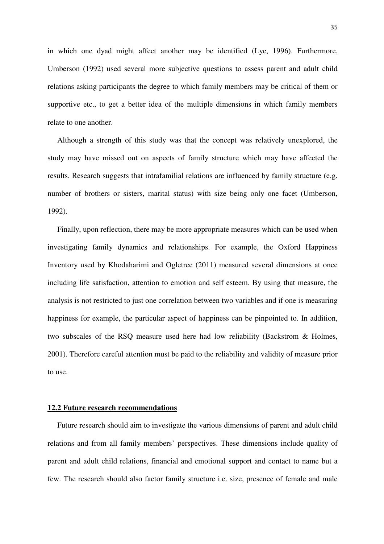in which one dyad might affect another may be identified (Lye, 1996). Furthermore, Umberson (1992) used several more subjective questions to assess parent and adult child relations asking participants the degree to which family members may be critical of them or supportive etc., to get a better idea of the multiple dimensions in which family members relate to one another.

 Although a strength of this study was that the concept was relatively unexplored, the study may have missed out on aspects of family structure which may have affected the results. Research suggests that intrafamilial relations are influenced by family structure (e.g. number of brothers or sisters, marital status) with size being only one facet (Umberson, 1992).

 Finally, upon reflection, there may be more appropriate measures which can be used when investigating family dynamics and relationships. For example, the Oxford Happiness Inventory used by Khodaharimi and Ogletree (2011) measured several dimensions at once including life satisfaction, attention to emotion and self esteem. By using that measure, the analysis is not restricted to just one correlation between two variables and if one is measuring happiness for example, the particular aspect of happiness can be pinpointed to. In addition, two subscales of the RSQ measure used here had low reliability (Backstrom & Holmes, 2001). Therefore careful attention must be paid to the reliability and validity of measure prior to use.

## **12.2 Future research recommendations**

 Future research should aim to investigate the various dimensions of parent and adult child relations and from all family members' perspectives. These dimensions include quality of parent and adult child relations, financial and emotional support and contact to name but a few. The research should also factor family structure i.e. size, presence of female and male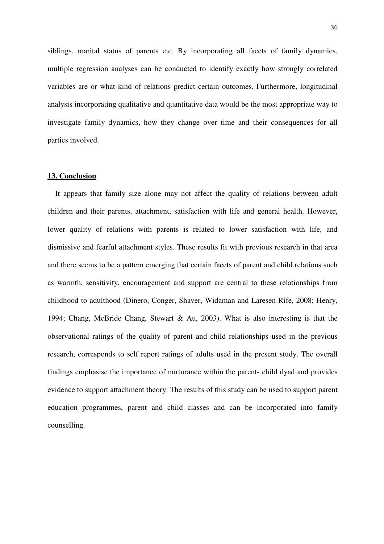siblings, marital status of parents etc. By incorporating all facets of family dynamics, multiple regression analyses can be conducted to identify exactly how strongly correlated variables are or what kind of relations predict certain outcomes. Furthermore, longitudinal analysis incorporating qualitative and quantitative data would be the most appropriate way to investigate family dynamics, how they change over time and their consequences for all parties involved.

#### **13. Conclusion**

 It appears that family size alone may not affect the quality of relations between adult children and their parents, attachment, satisfaction with life and general health. However, lower quality of relations with parents is related to lower satisfaction with life, and dismissive and fearful attachment styles. These results fit with previous research in that area and there seems to be a pattern emerging that certain facets of parent and child relations such as warmth, sensitivity, encouragement and support are central to these relationships from childhood to adulthood (Dinero, Conger, Shaver, Widaman and Laresen-Rife, 2008; Henry, 1994; Chang, McBride Chang, Stewart & Au, 2003). What is also interesting is that the observational ratings of the quality of parent and child relationships used in the previous research, corresponds to self report ratings of adults used in the present study. The overall findings emphasise the importance of nurturance within the parent- child dyad and provides evidence to support attachment theory. The results of this study can be used to support parent education programmes, parent and child classes and can be incorporated into family counselling.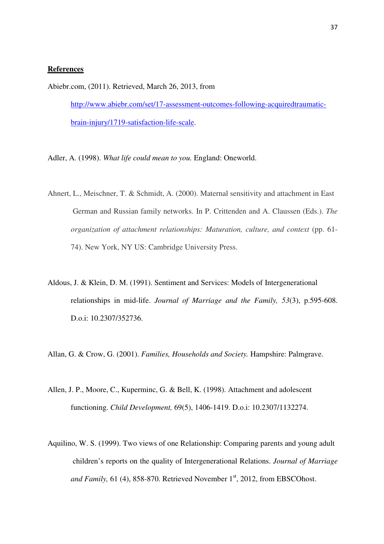#### **References**

Abiebr.com, (2011). Retrieved, March 26, 2013, from

http://www.abiebr.com/set/17-assessment-outcomes-following-acquiredtraumaticbrain-injury/1719-satisfaction-life-scale.

Adler, A. (1998). *What life could mean to you.* England: Oneworld.

- Ahnert, L., Meischner, T. & Schmidt, A. (2000). Maternal sensitivity and attachment in East German and Russian family networks. In P. Crittenden and A. Claussen (Eds.). *The organization of attachment relationships: Maturation, culture, and context* (pp. 61- 74). New York, NY US: Cambridge University Press.
- Aldous, J. & Klein, D. M. (1991). Sentiment and Services: Models of Intergenerational relationships in mid-life. *Journal of Marriage and the Family, 53*(3), p.595-608. D.o.i: 10.2307/352736.
- Allan, G. & Crow, G. (2001). *Families, Households and Society.* Hampshire: Palmgrave.
- Allen, J. P., Moore, C., Kuperminc, G. & Bell, K. (1998). Attachment and adolescent functioning. *Child Development,* 69(5), 1406-1419. D.o.i: 10.2307/1132274.
- Aquilino, W. S. (1999). Two views of one Relationship: Comparing parents and young adult children's reports on the quality of Intergenerational Relations. *Journal of Marriage and Family, 61 (4), 858-870.* Retrieved November 1<sup>st</sup>, 2012, from EBSCOhost.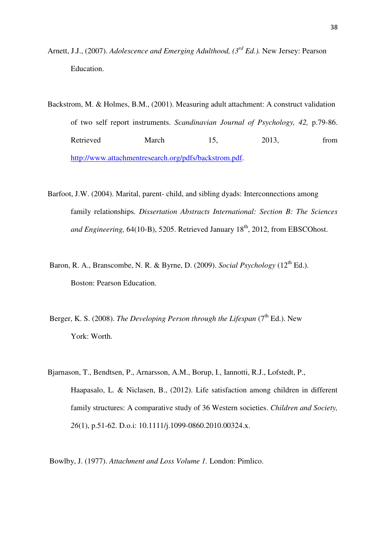- Arnett, J.J., (2007). *Adolescence and Emerging Adulthood, (3rd Ed.).* New Jersey: Pearson Education.
- Backstrom, M. & Holmes, B.M., (2001). Measuring adult attachment: A construct validation of two self report instruments. *Scandinavian Journal of Psychology, 42,* p.79-86. Retrieved March 15, 2013, from http://www.attachmentresearch.org/pdfs/backstrom.pdf.
- Barfoot, J.W. (2004). Marital, parent- child, and sibling dyads: Interconnections among family relationships*. Dissertation Abstracts International: Section B: The Sciences and Engineering, 64(10-B), 5205. Retrieved January 18<sup>th</sup>, 2012, from EBSCOhost.*
- Baron, R. A., Branscombe, N. R. & Byrne, D. (2009). *Social Psychology* (12<sup>th</sup> Ed.). Boston: Pearson Education.
- Berger, K. S. (2008). *The Developing Person through the Lifespan* (7<sup>th</sup> Ed.). New York: Worth.
- Bjarnason, T., Bendtsen, P., Arnarsson, A.M., Borup, I., Iannotti, R.J., Lofstedt, P., Haapasalo, L. & Niclasen, B., (2012). Life satisfaction among children in different family structures: A comparative study of 36 Western societies. *Children and Society, 26*(1), p.51-62. D.o.i: 10.1111/j.1099-0860.2010.00324.x.

Bowlby, J. (1977). *Attachment and Loss Volume 1.* London: Pimlico.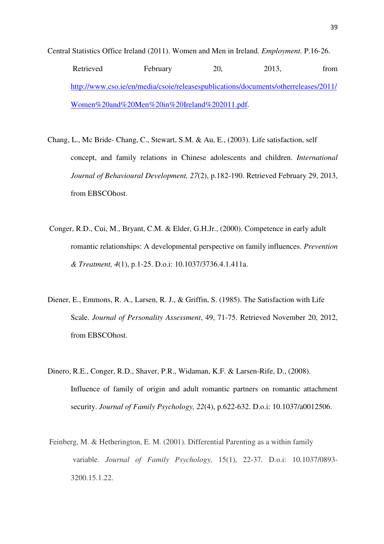Central Statistics Office Ireland (2011). Women and Men in Ireland. *Employment.* P.16-26. Retrieved February 20, 2013, from http://www.cso.ie/en/media/csoie/releasespublications/documents/otherreleases/2011/ Women%20and%20Men%20in%20Ireland%202011.pdf.

- Chang, L., Mc Bride- Chang, C., Stewart, S.M. & Au, E., (2003). Life satisfaction, self concept, and family relations in Chinese adolescents and children. *International Journal of Behavioural Development, 27*(2), p.182-190. Retrieved February 29, 2013, from EBSCOhost.
- Conger, R.D., Cui, M., Bryant, C.M. & Elder, G.H.Jr., (2000). Competence in early adult romantic relationships: A developmental perspective on family influences. *Prevention & Treatment, 4*(1), p.1-25. D.o.i: 10.1037/3736.4.1.411a.
- Diener, E., Emmons, R. A., Larsen, R. J., & Griffin, S. (1985). The Satisfaction with Life Scale. *Journal of Personality Assessment*, 49, 71-75. Retrieved November 20, 2012, from EBSCOhost.
- Dinero, R.E., Conger, R.D., Shaver, P.R., Widaman, K.F. & Larsen-Rife, D., (2008). Influence of family of origin and adult romantic partners on romantic attachment security. *Journal of Family Psychology, 22*(4), p.622-632. D.o.i: 10.1037/a0012506.
- Feinberg, M. & Hetherington, E. M. (2001). Differential Parenting as a within family variable. *Journal of Family Psychology,* 15(1), 22-37. D.o.i: 10.1037/0893- 3200.15.1.22.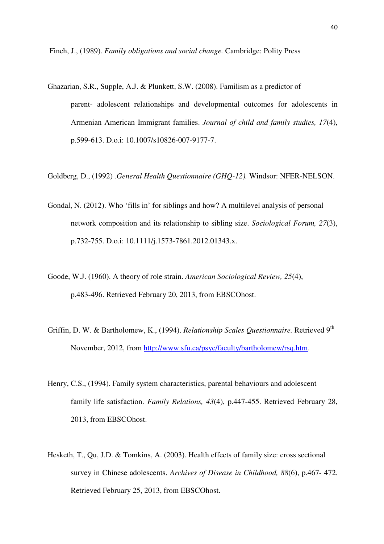Finch, J., (1989). *Family obligations and social change.* Cambridge: Polity Press

Ghazarian, S.R., Supple, A.J. & Plunkett, S.W. (2008). Familism as a predictor of parent- adolescent relationships and developmental outcomes for adolescents in Armenian American Immigrant families. *Journal of child and family studies, 17*(4), p.599-613. D.o.i: 10.1007/s10826-007-9177-7.

Goldberg, D., (1992) *.General Health Questionnaire (GHQ-12).* Windsor: NFER-NELSON.

- Gondal, N. (2012). Who 'fills in' for siblings and how? A multilevel analysis of personal network composition and its relationship to sibling size. *Sociological Forum, 27*(3), p.732-755. D.o.i: 10.1111/j.1573-7861.2012.01343.x.
- Goode, W.J. (1960). A theory of role strain. *American Sociological Review, 25*(4), p.483-496. Retrieved February 20, 2013, from EBSCOhost.
- Griffin, D. W. & Bartholomew, K., (1994). *Relationship Scales Questionnaire.* Retrieved 9th November, 2012, from http://www.sfu.ca/psyc/faculty/bartholomew/rsq.htm.
- Henry, C.S., (1994). Family system characteristics, parental behaviours and adolescent family life satisfaction. *Family Relations, 43*(4), p.447-455. Retrieved February 28, 2013, from EBSCOhost.
- Hesketh, T., Qu, J.D. & Tomkins, A. (2003). Health effects of family size: cross sectional survey in Chinese adolescents. *Archives of Disease in Childhood, 88*(6), p.467- 472. Retrieved February 25, 2013, from EBSCOhost.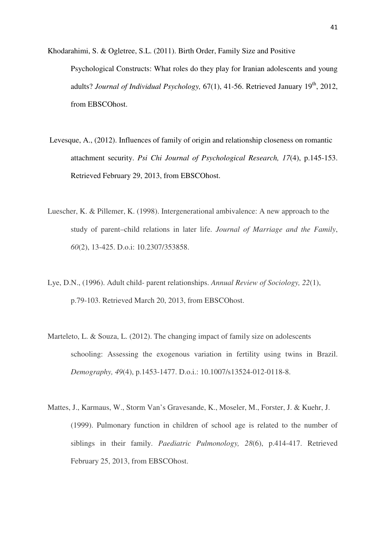- Khodarahimi, S. & Ogletree, S.L. (2011). Birth Order, Family Size and Positive Psychological Constructs: What roles do they play for Iranian adolescents and young adults? *Journal of Individual Psychology*, 67(1), 41-56. Retrieved January 19<sup>th</sup>, 2012, from EBSCOhost.
- Levesque, A., (2012). Influences of family of origin and relationship closeness on romantic attachment security. *Psi Chi Journal of Psychological Research, 17*(4), p.145-153. Retrieved February 29, 2013, from EBSCOhost.
- Luescher, K. & Pillemer, K. (1998). Intergenerational ambivalence: A new approach to the study of parent–child relations in later life. *Journal of Marriage and the Family*, *60*(2), 13-425. D.o.i: 10.2307/353858.
- Lye, D.N., (1996). Adult child- parent relationships. *Annual Review of Sociology, 22*(1), p.79-103. Retrieved March 20, 2013, from EBSCOhost.
- Marteleto, L. & Souza, L. (2012). The changing impact of family size on adolescents schooling: Assessing the exogenous variation in fertility using twins in Brazil. *Demography, 49*(4), p.1453-1477. D.o.i.: 10.1007/s13524-012-0118-8.
- Mattes, J., Karmaus, W., Storm Van's Gravesande, K., Moseler, M., Forster, J. & Kuehr, J. (1999). Pulmonary function in children of school age is related to the number of siblings in their family. *Paediatric Pulmonology, 28*(6), p.414-417. Retrieved February 25, 2013, from EBSCOhost.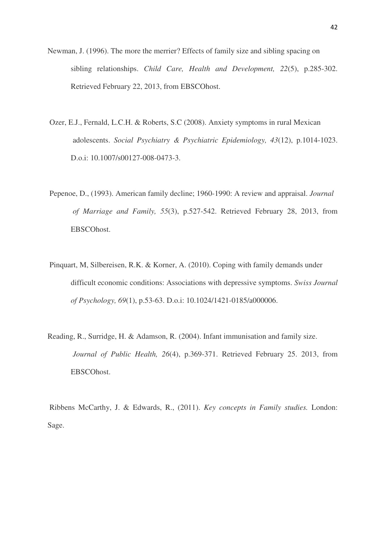- Newman, J. (1996). The more the merrier? Effects of family size and sibling spacing on sibling relationships. *Child Care, Health and Development, 22*(5), p.285-302. Retrieved February 22, 2013, from EBSCOhost.
- Ozer, E.J., Fernald, L.C.H. & Roberts, S.C (2008). Anxiety symptoms in rural Mexican adolescents. *Social Psychiatry & Psychiatric Epidemiology, 43*(12), p.1014-1023. D.o.i: 10.1007/s00127-008-0473-3.
- Pepenoe, D., (1993). American family decline; 1960-1990: A review and appraisal. *Journal of Marriage and Family, 55*(3), p.527-542. Retrieved February 28, 2013, from EBSCOhost.
- Pinquart, M, Silbereisen, R.K. & Korner, A. (2010). Coping with family demands under difficult economic conditions: Associations with depressive symptoms. *Swiss Journal of Psychology, 69*(1), p.53-63. D.o.i: 10.1024/1421-0185/a000006.
- Reading, R., Surridge, H. & Adamson, R. (2004). Infant immunisation and family size. *Journal of Public Health, 26*(4), p.369-371. Retrieved February 25. 2013, from EBSCOhost.

 Ribbens McCarthy, J. & Edwards, R., (2011). *Key concepts in Family studies.* London: Sage.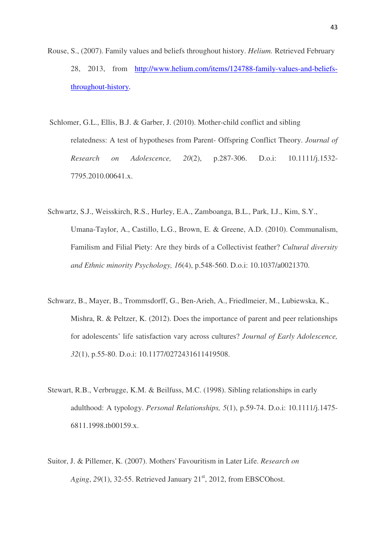- Rouse, S., (2007). Family values and beliefs throughout history. *Helium.* Retrieved February 28, 2013, from http://www.helium.com/items/124788-family-values-and-beliefsthroughout-history.
- Schlomer, G.L., Ellis, B.J. & Garber, J. (2010). Mother-child conflict and sibling relatedness: A test of hypotheses from Parent- Offspring Conflict Theory. *Journal of Research on Adolescence, 20*(2), p.287-306. D.o.i: 10.1111/j.1532- 7795.2010.00641.x.
- Schwartz, S.J., Weisskirch, R.S., Hurley, E.A., Zamboanga, B.L., Park, I.J., Kim, S.Y., Umana-Taylor, A., Castillo, L.G., Brown, E. & Greene, A.D. (2010). Communalism, Familism and Filial Piety: Are they birds of a Collectivist feather? *Cultural diversity and Ethnic minority Psychology, 16*(4), p.548-560. D.o.i: 10.1037/a0021370.
- Schwarz, B., Mayer, B., Trommsdorff, G., Ben-Arieh, A., Friedlmeier, M., Lubiewska, K., Mishra, R. & Peltzer, K. (2012). Does the importance of parent and peer relationships for adolescents' life satisfaction vary across cultures? *Journal of Early Adolescence, 32*(1), p.55-80. D.o.i: 10.1177/0272431611419508.
- Stewart, R.B., Verbrugge, K.M. & Beilfuss, M.C. (1998). Sibling relationships in early adulthood: A typology. *Personal Relationships, 5*(1), p.59-74. D.o.i: 10.1111/j.1475- 6811.1998.tb00159.x.
- Suitor, J. & Pillemer, K. (2007). Mothers' Favouritism in Later Life. *Research on Aging*, 29(1), 32-55. Retrieved January 21<sup>st</sup>, 2012, from EBSCOhost.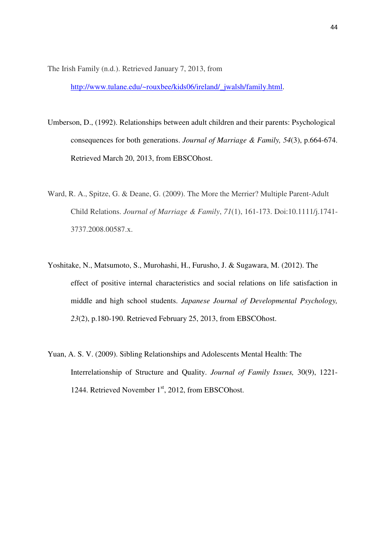The Irish Family (n.d.). Retrieved January 7, 2013, from

http://www.tulane.edu/~rouxbee/kids06/ireland/\_jwalsh/family.html.

- Umberson, D., (1992). Relationships between adult children and their parents: Psychological consequences for both generations. *Journal of Marriage & Family, 54*(3), p.664-674. Retrieved March 20, 2013, from EBSCOhost.
- Ward, R. A., Spitze, G. & Deane, G. (2009). The More the Merrier? Multiple Parent-Adult Child Relations. *Journal of Marriage & Family*, *71*(1), 161-173. Doi:10.1111/j.1741- 3737.2008.00587.x.
- Yoshitake, N., Matsumoto, S., Murohashi, H., Furusho, J. & Sugawara, M. (2012). The effect of positive internal characteristics and social relations on life satisfaction in middle and high school students. *Japanese Journal of Developmental Psychology, 23*(2), p.180-190. Retrieved February 25, 2013, from EBSCOhost.
- Yuan, A. S. V. (2009). Sibling Relationships and Adolescents Mental Health: The Interrelationship of Structure and Quality. *Journal of Family Issues,* 30(9), 1221- 1244. Retrieved November 1<sup>st</sup>, 2012, from EBSCOhost.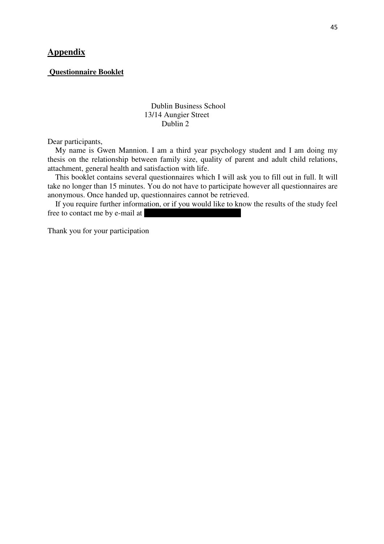## **Appendix**

## **Questionnaire Booklet**

## Dublin Business School 13/14 Aungier Street Dublin 2

Dear participants,

 My name is Gwen Mannion. I am a third year psychology student and I am doing my thesis on the relationship between family size, quality of parent and adult child relations, attachment, general health and satisfaction with life.

 This booklet contains several questionnaires which I will ask you to fill out in full. It will take no longer than 15 minutes. You do not have to participate however all questionnaires are anonymous. Once handed up, questionnaires cannot be retrieved.

 If you require further information, or if you would like to know the results of the study feel free to contact me by e-mail at

Thank you for your participation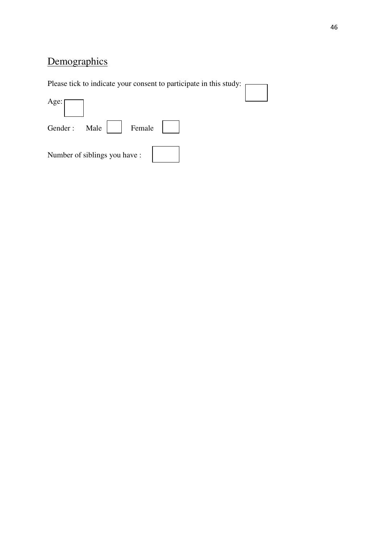# **Demographics**

Please tick to indicate your consent to participate in this study: Age: Gender : Male Female Number of siblings you have :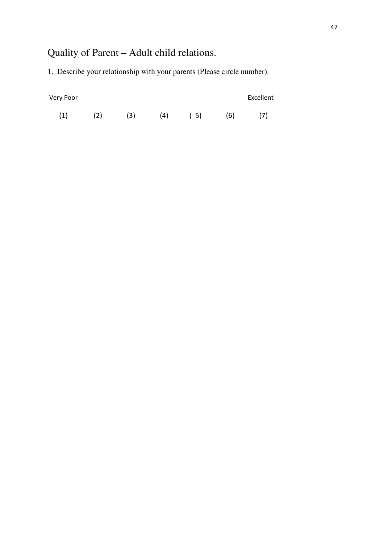# Quality of Parent – Adult child relations.

1. Describe your relationship with your parents (Please circle number).

| <b>Very Poor</b> |     |     |     |     |     | Excellent |
|------------------|-----|-----|-----|-----|-----|-----------|
| (1)              | (2) | (3) | (4) | (5) | (6) | (7)       |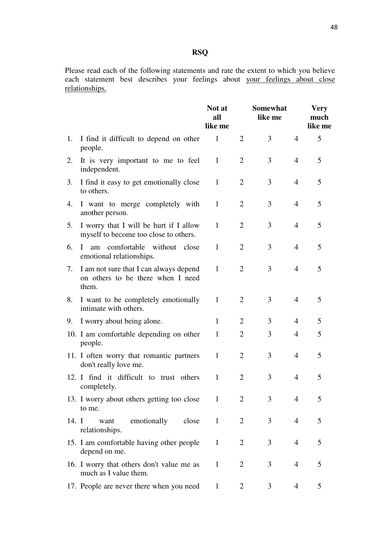## **RSQ**

Please read each of the following statements and rate the extent to which you believe each statement best describes your feelings about your feelings about close relationships.

|       |                                                                                      | Not at<br>all<br>like me |                | <b>Somewhat</b><br>like me |                | <b>Very</b><br>much<br>like me |
|-------|--------------------------------------------------------------------------------------|--------------------------|----------------|----------------------------|----------------|--------------------------------|
| 1.    | I find it difficult to depend on other<br>people.                                    | 1                        | 2              | 3                          | $\overline{4}$ | 5                              |
| 2.    | It is very important to me to feel<br>independent.                                   | 1                        | 2              | 3                          | $\overline{4}$ | 5                              |
| 3.    | I find it easy to get emotionally close<br>to others.                                | 1                        | $\overline{2}$ | 3                          | $\overline{4}$ | 5                              |
| 4.    | I want to merge completely with<br>another person.                                   | 1                        | $\overline{2}$ | 3                          | $\overline{4}$ | 5                              |
| 5.    | I worry that I will be hurt if I allow<br>myself to become too close to others.      | 1                        | 2              | 3                          | 4              | 5                              |
| 6.    | comfortable without close<br>$\mathbf{I}$<br>am<br>emotional relationships.          | 1                        | 2              | 3                          | $\overline{4}$ | 5                              |
| 7.    | I am not sure that I can always depend<br>on others to be there when I need<br>them. | $\mathbf{1}$             | 2              | 3                          | $\overline{4}$ | 5                              |
| 8.    | I want to be completely emotionally<br>intimate with others.                         | $\mathbf{1}$             | $\overline{2}$ | 3                          | 4              | 5                              |
| 9.    | I worry about being alone.                                                           | 1                        | $\overline{2}$ | 3                          | $\overline{4}$ | 5                              |
|       | 10. I am comfortable depending on other<br>people.                                   | 1                        | $\overline{2}$ | 3                          | 4              | 5                              |
|       | 11. I often worry that romantic partners<br>don't really love me.                    | $\mathbf{1}$             | 2              | 3                          | 4              | 5                              |
|       | 12. I find it difficult to trust others<br>completely.                               | $\mathbf{1}$             | 2              | 3                          | $\overline{4}$ | 5                              |
|       | 13. I worry about others getting too close<br>to me.                                 | 1                        | $\overline{2}$ | 3                          | 4              | 5                              |
| 14. I | emotionally<br>want<br>close<br>relationships.                                       | $\mathbf{1}$             | $\overline{2}$ | 3                          | 4              | 5                              |
|       | 15. I am comfortable having other people<br>depend on me.                            | $\mathbf{1}$             | $\overline{2}$ | 3                          | $\overline{4}$ | 5                              |
|       | 16. I worry that others don't value me as<br>much as I value them.                   | $\mathbf{1}$             | $\overline{2}$ | 3                          | 4              | 5                              |
|       | 17. People are never there when you need                                             | $\mathbf{1}$             | 2              | 3                          | 4              | 5                              |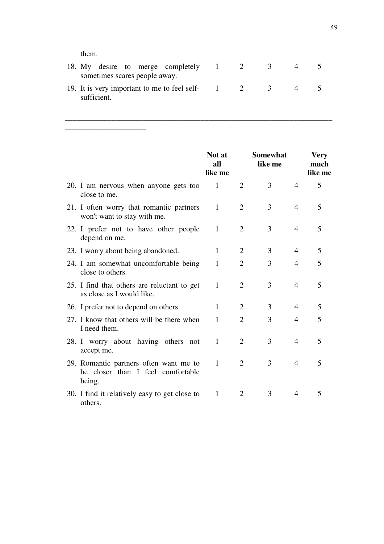them.

\_\_\_\_\_\_\_\_\_\_\_\_\_\_\_\_\_\_\_\_\_

|             |  | sometimes scares people away. | 18. My desire to merge completely 1 2             |  | $\sim$ 3 |  |
|-------------|--|-------------------------------|---------------------------------------------------|--|----------|--|
| sufficient. |  |                               | 19. It is very important to me to feel self-<br>2 |  | $\sim$ 3 |  |

\_\_\_\_\_\_\_\_\_\_\_\_\_\_\_\_\_\_\_\_\_\_\_\_\_\_\_\_\_\_\_\_\_\_\_\_\_\_\_\_\_\_\_\_\_\_\_\_\_\_\_\_\_\_\_\_\_\_\_\_\_\_\_\_\_\_\_\_\_

|                                                                                       | Not at<br>all<br>like me |                | <b>Somewhat</b><br>like me |                | <b>Very</b><br>much<br>like me |
|---------------------------------------------------------------------------------------|--------------------------|----------------|----------------------------|----------------|--------------------------------|
| 20. I am nervous when anyone gets too<br>close to me.                                 | 1                        | 2              | 3                          | 4              | 5                              |
| 21. I often worry that romantic partners<br>won't want to stay with me.               | 1                        | $\overline{2}$ | 3                          | $\overline{4}$ | 5                              |
| 22. I prefer not to have other people<br>depend on me.                                | 1                        | 2              | 3                          | $\overline{4}$ | 5                              |
| 23. I worry about being abandoned.                                                    | 1                        | 2              | 3                          | 4              | 5                              |
| 24. I am somewhat uncomfortable being<br>close to others.                             | $\mathbf{1}$             | $\overline{2}$ | 3                          | 4              | 5                              |
| 25. I find that others are reluctant to get<br>as close as I would like.              | 1                        | 2              | 3                          | 4              | 5                              |
| 26. I prefer not to depend on others.                                                 | 1                        | $\overline{2}$ | 3                          | 4              | 5                              |
| 27. I know that others will be there when<br>I need them.                             | 1                        | $\overline{2}$ | 3                          | 4              | 5                              |
| 28. I worry about having others not<br>accept me.                                     | $\mathbf{1}$             | $\overline{2}$ | 3                          | 4              | 5                              |
| 29. Romantic partners often want me to<br>be closer than I feel comfortable<br>being. | 1                        | $\overline{2}$ | 3                          | 4              | 5                              |
| 30. I find it relatively easy to get close to<br>others.                              | 1                        | 2              | 3                          | 4              | 5                              |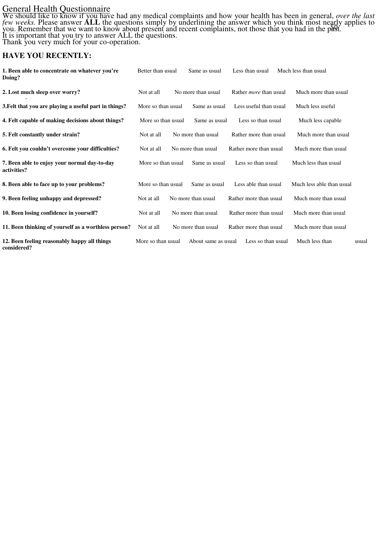## General Health Questionnaire

50f We should like to know if you have had any medical complaints and how your health has been in general, *over the last few weeks.* Please answer **ALL** the questions simply by underlining the answer which you think most nearly applies to you. Remember that we want to know about present and recent complaints, not those that you had in the past. It is important that you try to answer ALL the questions. Thank you very much for your co-operation.

## **HAVE YOU RECENTLY:**

| 1. Been able to concentrate on whatever you're<br>Doing?    | Better than usual  | Same as usual       | Less than usual               | Much less than usual      |       |
|-------------------------------------------------------------|--------------------|---------------------|-------------------------------|---------------------------|-------|
| 2. Lost much sleep over worry?                              | Not at all         | No more than usual  | Rather <i>more</i> than usual | Much more than usual      |       |
| 3. Felt that you are playing a useful part in things?       | More so than usual | Same as usual       | Less useful than usual        | Much less useful          |       |
| 4. Felt capable of making decisions about things?           | More so than usual | Same as usual       | Less so than usual            | Much less capable         |       |
| 5. Felt constantly under strain?                            | Not at all         | No more than usual  | Rather more than usual        | Much more than usual      |       |
| 6. Felt you couldn't overcome your difficulties?            | Not at all         | No more than usual  | Rather more than usual        | Much more than usual      |       |
| 7. Been able to enjoy your normal day-to-day<br>activities? | More so than usual | Same as usual       | Less so than usual            | Much less than usual      |       |
| 8. Been able to face up to your problems?                   | More so than usual | Same as usual       | Less able than usual          | Much less able than usual |       |
| 9. Been feeling unhappy and depressed?                      | Not at all         | No more than usual  | Rather more than usual        | Much more than usual      |       |
| 10. Been losing confidence in yourself?                     | Not at all         | No more than usual  | Rather more than usual        | Much more than usual      |       |
| 11. Been thinking of yourself as a worthless person?        | Not at all         | No more than usual  | Rather more than usual        | Much more than usual      |       |
| 12. Been feeling reasonably happy all things<br>considered? | More so than usual | About same as usual | Less so than usual            | Much less than            | usual |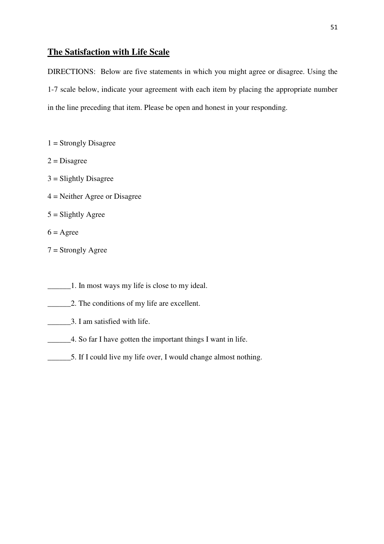## **The Satisfaction with Life Scale**

DIRECTIONS: Below are five statements in which you might agree or disagree. Using the 1-7 scale below, indicate your agreement with each item by placing the appropriate number in the line preceding that item. Please be open and honest in your responding.

- $1 =$  Strongly Disagree
- $2 = Disagree$
- 3 = Slightly Disagree
- 4 = Neither Agree or Disagree
- $5 =$ Slightly Agree
- $6 = \text{Agree}$
- 7 = Strongly Agree
- \_\_\_\_\_\_1. In most ways my life is close to my ideal.
- \_\_\_\_\_\_2. The conditions of my life are excellent.
- **1.1.** 3. I am satisfied with life.
- \_\_\_\_\_\_4. So far I have gotten the important things I want in life.
- \_\_\_\_\_\_5. If I could live my life over, I would change almost nothing.